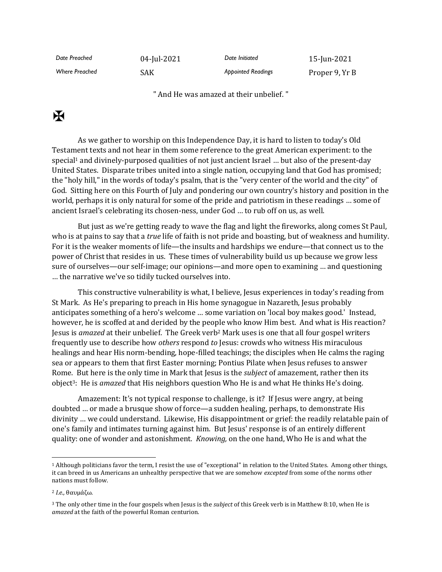| Date Preached         | 04-Jul-2021 | Date Initiated            | 15-Jun-2021    |
|-----------------------|-------------|---------------------------|----------------|
| <b>Where Preached</b> | SAK         | <b>Appointed Readings</b> | Proper 9, Yr B |

" And He was amazed at their unbelief. "

## $\mathbf K$

As we gather to worship on this Independence Day, it is hard to listen to today's Old Testament texts and not hear in them some reference to the great American experiment: to the special<sup>1</sup> and divinely-purposed qualities of not just ancient Israel ... but also of the present-day United States. Disparate tribes united into a single nation, occupying land that God has promised; the "holy hill," in the words of today's psalm, that is the "very center of the world and the city" of God. Sitting here on this Fourth of July and pondering our own country's history and position in the world, perhaps it is only natural for some of the pride and patriotism in these readings … some of ancient Israel's celebrating its chosen-ness, under God … to rub off on us, as well.

But just as we're getting ready to wave the flag and light the fireworks, along comes St Paul, who is at pains to say that a *true* life of faith is not pride and boasting, but of weakness and humility. For it is the weaker moments of life—the insults and hardships we endure—that connect us to the power of Christ that resides in us. These times of vulnerability build us up because we grow less sure of ourselves—our self-image; our opinions—and more open to examining … and questioning … the narrative we've so tidily tucked ourselves into.

This constructive vulnerability is what, I believe, Jesus experiences in today's reading from St Mark. As He's preparing to preach in His home synagogue in Nazareth, Jesus probably anticipates something of a hero's welcome … some variation on 'local boy makes good.' Instead, however, he is scoffed at and derided by the people who know Him best. And what is His reaction? Jesus is *amazed* at their unbelief. The Greek verb<sup>2</sup> Mark uses is one that all four gospel writers frequently use to describe how *others* respond *to* Jesus: crowds who witness His miraculous healings and hear His norm-bending, hope-filled teachings; the disciples when He calms the raging sea or appears to them that first Easter morning; Pontius Pilate when Jesus refuses to answer Rome. But here is the only time in Mark that Jesus is the *subject* of amazement, rather then its object3: He is *amazed* that His neighbors question Who He is and what He thinks He's doing.

Amazement: It's not typical response to challenge, is it? If Jesus were angry, at being doubted … or made a brusque show of force—a sudden healing, perhaps, to demonstrate His divinity … we could understand. Likewise, His disappointment or grief: the readily relatable pain of one's family and intimates turning against him. But Jesus' response is of an entirely different quality: one of wonder and astonishment. *Knowing,* on the one hand, Who He is and what the

<sup>1</sup> Although politicians favor the term, I resist the use of "exceptional" in relation to the United States. Among other things, it can breed in us Americans an unhealthy perspective that we are somehow *excepted* from some of the norms other nations must follow.

<sup>2</sup> *I.e.,* θαυμάζω.

<sup>3</sup> The only other time in the four gospels when Jesus is the *subject* of this Greek verb is in Matthew 8:10, when He is *amazed* at the faith of the powerful Roman centurion.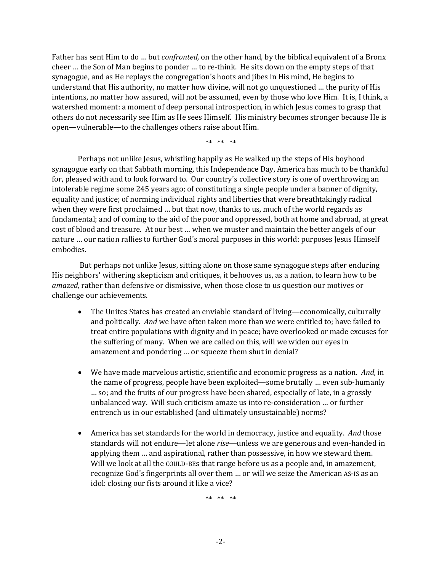Father has sent Him to do … but *confronted,* on the other hand, by the biblical equivalent of a Bronx cheer … the Son of Man begins to ponder … to re-think. He sits down on the empty steps of that synagogue, and as He replays the congregation's hoots and jibes in His mind, He begins to understand that His authority, no matter how divine, will not go unquestioned … the purity of His intentions, no matter how assured, will not be assumed, even by those who love Him. It is, I think, a watershed moment: a moment of deep personal introspection, in which Jesus comes to grasp that others do not necessarily see Him as He sees Himself. His ministry becomes stronger because He is open—vulnerable—to the challenges others raise about Him.

\*\* \*\* \*\*

Perhaps not unlike Jesus, whistling happily as He walked up the steps of His boyhood synagogue early on that Sabbath morning, this Independence Day, America has much to be thankful for, pleased with and to look forward to. Our country's collective story is one of overthrowing an intolerable regime some 245 years ago; of constituting a single people under a banner of dignity, equality and justice; of norming individual rights and liberties that were breathtakingly radical when they were first proclaimed … but that now, thanks to us, much of the world regards as fundamental; and of coming to the aid of the poor and oppressed, both at home and abroad, at great cost of blood and treasure. At our best … when we muster and maintain the better angels of our nature … our nation rallies to further God's moral purposes in this world: purposes Jesus Himself embodies.

But perhaps not unlike Jesus, sitting alone on those same synagogue steps after enduring His neighbors' withering skepticism and critiques, it behooves us, as a nation, to learn how to be *amazed,* rather than defensive or dismissive, when those close to us question our motives or challenge our achievements.

- The Unites States has created an enviable standard of living—economically, culturally and politically. *And* we have often taken more than we were entitled to; have failed to treat entire populations with dignity and in peace; have overlooked or made excuses for the suffering of many. When we are called on this, will we widen our eyes in amazement and pondering … or squeeze them shut in denial?
- We have made marvelous artistic, scientific and economic progress as a nation. *And,* in the name of progress, people have been exploited—some brutally … even sub-humanly … so; and the fruits of our progress have been shared, especially of late, in a grossly unbalanced way. Will such criticism amaze us into re-consideration … or further entrench us in our established (and ultimately unsustainable) norms?
- America has set standards for the world in democracy, justice and equality. *And* those standards will not endure—let alone *rise*—unless we are generous and even-handed in applying them … and aspirational, rather than possessive, in how we steward them. Will we look at all the COULD-BEs that range before us as a people and, in amazement, recognize God's fingerprints all over them … or will we seize the American AS-IS as an idol: closing our fists around it like a vice?

\*\* \*\* \*\*